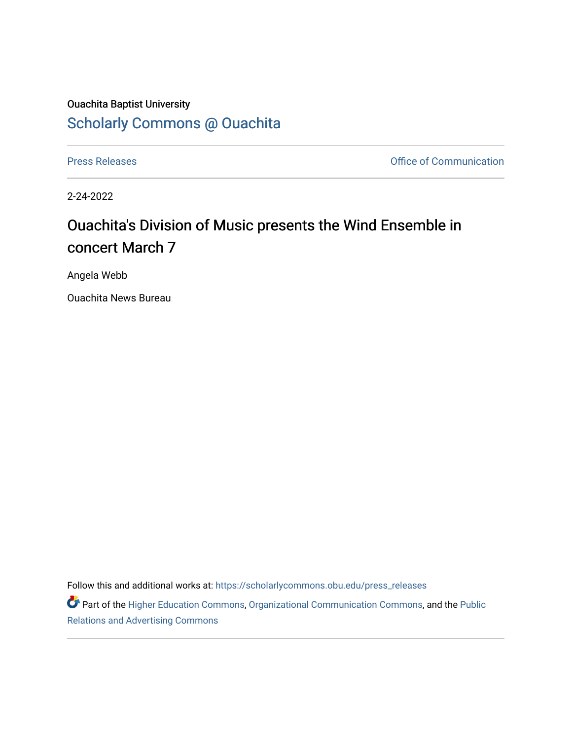## Ouachita Baptist University [Scholarly Commons @ Ouachita](https://scholarlycommons.obu.edu/)

[Press Releases](https://scholarlycommons.obu.edu/press_releases) **Press Releases Communication** 

2-24-2022

## Ouachita's Division of Music presents the Wind Ensemble in concert March 7

Angela Webb

Ouachita News Bureau

Follow this and additional works at: [https://scholarlycommons.obu.edu/press\\_releases](https://scholarlycommons.obu.edu/press_releases?utm_source=scholarlycommons.obu.edu%2Fpress_releases%2F1062&utm_medium=PDF&utm_campaign=PDFCoverPages)

Part of the [Higher Education Commons,](http://network.bepress.com/hgg/discipline/1245?utm_source=scholarlycommons.obu.edu%2Fpress_releases%2F1062&utm_medium=PDF&utm_campaign=PDFCoverPages) [Organizational Communication Commons,](http://network.bepress.com/hgg/discipline/335?utm_source=scholarlycommons.obu.edu%2Fpress_releases%2F1062&utm_medium=PDF&utm_campaign=PDFCoverPages) and the [Public](http://network.bepress.com/hgg/discipline/336?utm_source=scholarlycommons.obu.edu%2Fpress_releases%2F1062&utm_medium=PDF&utm_campaign=PDFCoverPages) [Relations and Advertising Commons](http://network.bepress.com/hgg/discipline/336?utm_source=scholarlycommons.obu.edu%2Fpress_releases%2F1062&utm_medium=PDF&utm_campaign=PDFCoverPages)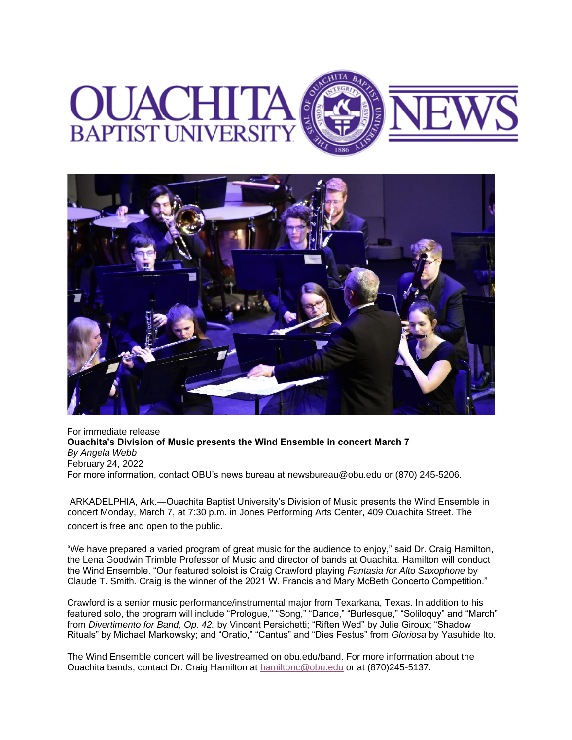



For immediate release **Ouachita's Division of Music presents the Wind Ensemble in concert March 7** *By Angela Webb* February 24, 2022 For more information, contact OBU's news bureau at [newsbureau@obu.edu](mailto:newsbureau@obu.edu) or (870) 245-5206.

ARKADELPHIA, Ark.—Ouachita Baptist University's Division of Music presents the Wind Ensemble in concert Monday, March 7, at 7:30 p.m. in Jones Performing Arts Center, 409 Ouachita Street. The concert is free and open to the public.

"We have prepared a varied program of great music for the audience to enjoy," said Dr. Craig Hamilton, the Lena Goodwin Trimble Professor of Music and director of bands at Ouachita. Hamilton will conduct the Wind Ensemble. "Our featured soloist is Craig Crawford playing *Fantasia for Alto Saxophone* by Claude T. Smith*.* Craig is the winner of the 2021 W. Francis and Mary McBeth Concerto Competition."

Crawford is a senior music performance/instrumental major from Texarkana, Texas. In addition to his featured solo, the program will include "Prologue," "Song," "Dance," "Burlesque," "Soliloquy" and "March" from *Divertimento for Band, Op. 42.* by Vincent Persichetti; "Riften Wed" by Julie Giroux; "Shadow Rituals" by Michael Markowsky; and "Oratio," "Cantus" and "Dies Festus" from *Gloriosa* by Yasuhide Ito.

The Wind Ensemble concert will be livestreamed on obu.edu/band. For more information about the Ouachita bands, contact Dr. Craig Hamilton at [hamiltonc@obu.edu](mailto:hamiltonc@obu.edu) or at (870)245-5137.